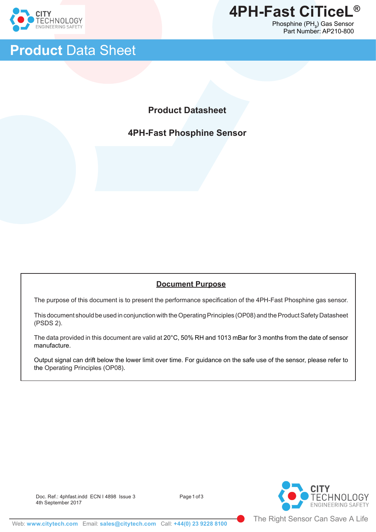

ֺ֝֡



## **Product** Data Sheet

## **Product Datasheet**

## **4PH-Fast Phosphine Sensor**

#### **Document Purpose**

The purpose of this document is to present the performance specification of the 4PH-Fast Phosphine gas sensor.

This document should be used in conjunction with the Operating Principles (OP08) and the Product Safety Datasheet (PSDS 2).

The data provided in this document are valid at 20°C, 50% RH and 1013 mBar for 3 months from the date of sensor manufacture.

Output signal can drift below the lower limit over time. For guidance on the safe use of the sensor, please refer to the Operating Principles (OP08).

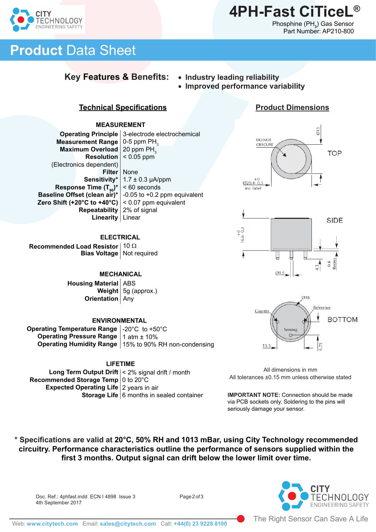

**Product Dimensions**

015

**TOP** 

eces.  $0.6$ ธุ่

# **Product** Data Sheet

CHNOLOGY **VEERING SAFETY** 

## **Key Features & Benefits:** • **Industry leading reliability**

- 
- **Improved performance variability**

DO NOT **OBSCURE** 

 $+0$ <br>Ø20.4-0.3

 $16.6 - 0.3$ 

### **Technical Specifications**

#### **MEASUREMENT**

**Operating Principle** | 3-electrode electrochemical **Measurement Range** | 0-5 ppm PH<sub>3</sub> **Maximum Overload** | 20 ppm PH<sub>3</sub> **Resolution**  $|$  < 0.05 ppm **Filter** | None 1.7 ± 0.3 µA/ppm < 60 seconds **Baseline Offset (clean air)\*** | -0.05 to +0.2 ppm equivalent **Zero Shift (+20°C to +40°C)**  $|$  < 0.07 ppm equivalent **Repeatability** | 2% of signal Linear **Linearity** (Electronics dependent) **Sensitivity\* Response Time (T<sub>90</sub>)\*** 

#### **ELECTRICAL**

**Recommended Load Resistor** │ 10 Ω **Bias Voltage** | Not required

#### **MECHANICAL**

**Housing Material** | ABS **Weight** | 5g (approx.) **Orientation** | Any

#### **ENVIRONMENTAL**

**Operating Temperature Range** <code>|-20°C</code> to +50°C **Operating Pressure Range** | 1 atm ± 10% **Operating Humidity Range** | 15% to 90% RH non-condensing

#### **LIFETIME**

**Long Term Output Drift**  $|$  < 2% signal drift / month **Recommended Storage Temp** | 0 to 20°C **Expected Operating Life** 2 years in air **Storage Life** | 6 months in sealed container



 $Ø1.5$ 



All dimensions in mm All tolerances ±0.15 mm unless otherwise stated

**IMPORTANT NOTE:** Connection should be made via PCB sockets only. Soldering to the pins will seriously damage your sensor.

**\* Specifications are valid at 20°C, 50% RH and 1013 mBar, using City Technology recommended circuitry. Performance characteristics outline the performance of sensors supplied within the first 3 months. Output signal can drift below the lower limit over time.** 

Doc. Ref.: 4phfast.indd ECN I 4898 Issue 3 Page 2 of 3 4th September 2017